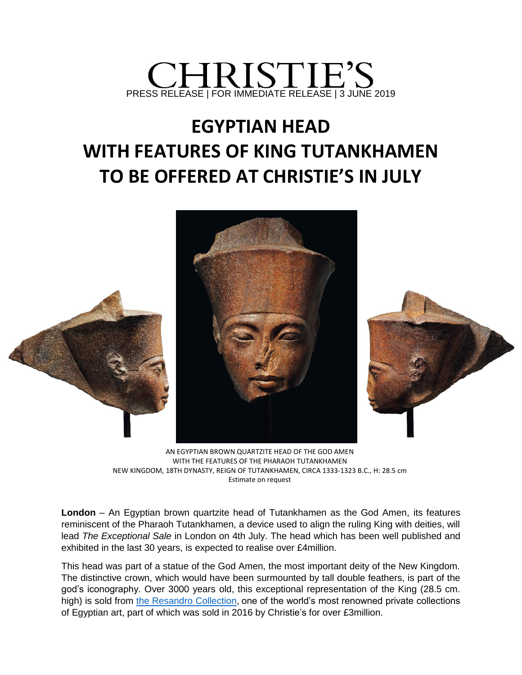

## **EGYPTIAN HEAD WITH FEATURES OF KING TUTANKHAMEN TO BE OFFERED AT CHRISTIE'S IN JULY**



AN EGYPTIAN BROWN QUARTZITE HEAD OF THE GOD AMEN WITH THE FEATURES OF THE PHARAOH TUTANKHAMEN NEW KINGDOM, 18TH DYNASTY, REIGN OF TUTANKHAMEN, CIRCA 1333-1323 B.C., H: 28.5 cm Estimate on request

**London** – An Egyptian brown quartzite head of Tutankhamen as the God Amen, its features reminiscent of the Pharaoh Tutankhamen, a device used to align the ruling King with deities, will lead *The Exceptional Sale* in London on 4th July. The head which has been well published and exhibited in the last 30 years, is expected to realise over £4million.

This head was part of a statue of the God Amen, the most important deity of the New Kingdom. The distinctive crown, which would have been surmounted by tall double feathers, is part of the god's iconography. Over 3000 years old, this exceptional representation of the King (28.5 cm. high) is sold from [the Resandro Collection,](https://www.christies.com/the-resandro-collection-27002.aspx?saletitle=) one of the world's most renowned private collections of Egyptian art, part of which was sold in 2016 by Christie's for over £3million.